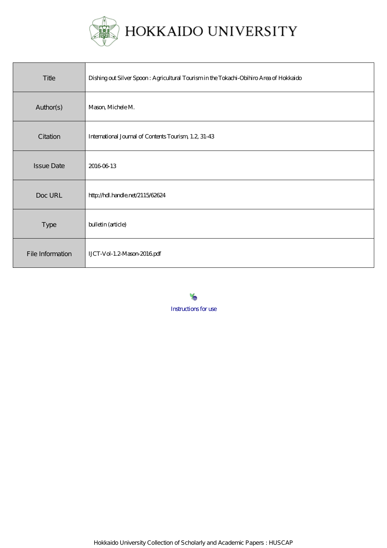

| Title             | Dishing out Silver Spoon: Agricultural Tourism in the Tokachi-Obihiro Area of Hokkaido |
|-------------------|----------------------------------------------------------------------------------------|
| Author(s)         | Mason, Michele M.                                                                      |
| Citation          | International Journal of Contents Tourism, 1.2, 31-43                                  |
| <b>Issue Date</b> | 20160613                                                                               |
| Doc URL           | http://hdl.handle.net/2115/62624                                                       |
| Type              | bulletin (article)                                                                     |
| File Information  | LJCT-Vol-1.2-Mason-2016pdf                                                             |

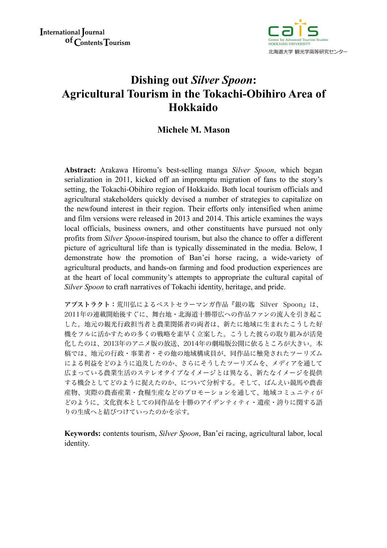

# **Dishing out** *Silver Spoon***: Agricultural Tourism in the Tokachi-Obihiro Area of Hokkaido**

# **Michele M. Mason**

**Abstract:** Arakawa Hiromu's best-selling manga *Silver Spoon*, which began serialization in 2011, kicked off an impromptu migration of fans to the story's setting, the Tokachi-Obihiro region of Hokkaido. Both local tourism officials and agricultural stakeholders quickly devised a number of strategies to capitalize on the newfound interest in their region. Their efforts only intensified when anime and film versions were released in 2013 and 2014. This article examines the ways local officials, business owners, and other constituents have pursued not only profits from *Silver Spoon*-inspired tourism, but also the chance to offer a different picture of agricultural life than is typically disseminated in the media. Below, I demonstrate how the promotion of Ban'ei horse racing, a wide-variety of agricultural products, and hands-on farming and food production experiences are at the heart of local community's attempts to appropriate the cultural capital of *Silver Spoon* to craft narratives of Tokachi identity, heritage, and pride.

アブストラクト:荒川弘によるベストセラーマンガ作品『銀の匙 Silver Spoon』は、 2011年の連載開始後すぐに、舞台地・北海道十勝帯広への作品ファンの流入を引き起こ した。地元の観光行政担当者と農業関係者の両者は、新たに地域に生まれたこうした好 機をフルに活かすための多くの戦略を素早く立案した。こうした彼らの取り組みが活発 化したのは、2013年のアニメ版の放送、2014年の劇場版公開に依るところが大きい。本 稿では、地元の行政・事業者・その他の地域構成員が、同作品に触発されたツーリズム による利益をどのように追及したのか、さらにそうしたツーリズムを、メディアを通して 広まっている農業生活のステレオタイプなイメージとは異なる、新たなイメージを提供 する機会としてどのように捉えたのか、について分析する。そして、ばんえい競馬や農畜 産物、実際の農畜産業・食糧生産などのプロモーションを通して、地域コミュニティが どのように、文化資本としての同作品を十勝のアイデンティティ・遺産・誇りに関する語 りの生成へと結びつけていったのかを示す。

**Keywords:** contents tourism, *Silver Spoon*, Ban'ei racing, agricultural labor, local identity.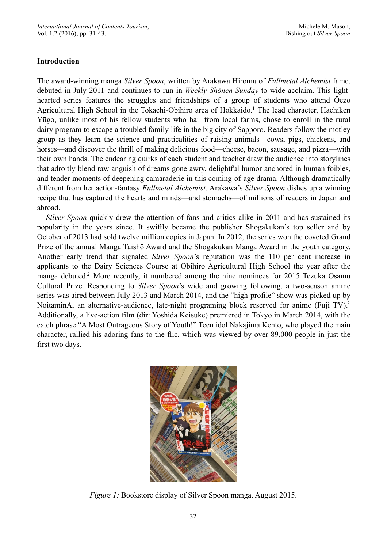## **Introduction**

<span id="page-2-0"></span>The award-winning manga *Silver Spoon*, written by Arakawa Hiromu of *Fullmetal Alchemist* fame, debuted in July 2011 and continues to run in *Weekly Shōnen Sunday* to wide acclaim. This lighthearted series features the struggles and friendships of a group of students who attend Ōezo Agricultural High School in the Tokachi-Obihiro area of Hokkaido[.](#page-11-0)<sup>[1](#page-11-0)</sup> The lead character, Hachiken Yūgo, unlike most of his fellow students who hail from local farms, chose to enroll in the rural dairy program to escape a troubled family life in the big city of Sapporo. Readers follow the motley group as they learn the science and practicalities of raising animals—cows, pigs, chickens, and horses—and discover the thrill of making delicious food—cheese, bacon, sausage, and pizza—with their own hands. The endearing quirks of each student and teacher draw the audience into storylines that adroitly blend raw anguish of dreams gone awry, delightful humor anchored in human foibles, and tender moments of deepening camaraderie in this coming-of-age drama. Although dramatically different from her action-fantasy *Fullmetal Alchemist*, Arakawa's *Silver Spoon* dishes up a winning recipe that has captured the hearts and minds—and stomachs—of millions of readers in Japan and abroad.

<span id="page-2-1"></span>*Silver Spoon* quickly drew the attention of fans and critics alike in 2011 and has sustained its popularity in the years since. It swiftly became the publisher Shogakukan's top seller and by October of 2013 had sold twelve million copies in Japan. In 2012, the series won the coveted Grand Prize of the annual Manga Taishō Award and the Shogakukan Manga Award in the youth category. Another early trend that signaled *Silver Spoon*'s reputation was the 110 per cent increase in applicants to the Dairy Sciences Course at Obihiro Agricultural High School the year after the mangadebuted.<sup>[2](#page-11-1)</sup> More recently, it numbered among the nine nominees for 2015 Tezuka Osamu Cultural Prize. Responding to *Silver Spoon*'s wide and growing following, a two-season anime series was aired between July 2013 and March 2014, and the "high-profile" show was picked up by NoitaminA, an alternative-audience, late-night programing block reserved for anime (Fuji TV).<sup>[3](#page-11-2)</sup> Additionally, a live-action film (dir: Yoshida Keisuke) premiered in Tokyo in March 2014, with the catch phrase "A Most Outrageous Story of Youth!" Teen idol Nakajima Kento, who played the main character, rallied his adoring fans to the flic, which was viewed by over 89,000 people in just the first two days.

<span id="page-2-2"></span>

*Figure 1:* Bookstore display of Silver Spoon manga. August 2015.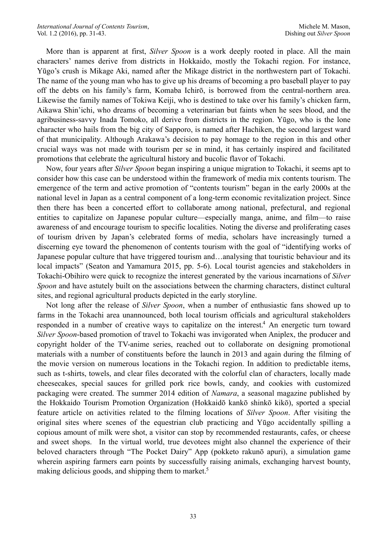More than is apparent at first, *Silver Spoon* is a work deeply rooted in place. All the main characters' names derive from districts in Hokkaido, mostly the Tokachi region. For instance, Yūgo's crush is Mikage Aki, named after the Mikage district in the northwestern part of Tokachi. The name of the young man who has to give up his dreams of becoming a pro baseball player to pay off the debts on his family's farm, Komaba Ichirō, is borrowed from the central-northern area. Likewise the family names of Tokiwa Keiji, who is destined to take over his family's chicken farm, Aikawa Shin'ichi, who dreams of becoming a veterinarian but faints when he sees blood, and the agribusiness-savvy Inada Tomoko, all derive from districts in the region. Yūgo, who is the lone character who hails from the big city of Sapporo, is named after Hachiken, the second largest ward of that municipality. Although Arakawa's decision to pay homage to the region in this and other crucial ways was not made with tourism per se in mind, it has certainly inspired and facilitated promotions that celebrate the agricultural history and bucolic flavor of Tokachi.

Now, four years after *Silver Spoon* began inspiring a unique migration to Tokachi, it seems apt to consider how this case can be understood within the framework of media mix contents tourism. The emergence of the term and active promotion of "contents tourism" began in the early 2000s at the national level in Japan as a central component of a long-term economic revitalization project. Since then there has been a concerted effort to collaborate among national, prefectural, and regional entities to capitalize on Japanese popular culture—especially manga, anime, and film—to raise awareness of and encourage tourism to specific localities. Noting the diverse and proliferating cases of tourism driven by Japan's celebrated forms of media, scholars have increasingly turned a discerning eye toward the phenomenon of contents tourism with the goal of "identifying works of Japanese popular culture that have triggered tourism and…analysing that touristic behaviour and its local impacts" (Seaton and Yamamura 2015, pp. 5-6). Local tourist agencies and stakeholders in Tokachi-Obihiro were quick to recognize the interest generated by the various incarnations of *Silver Spoon* and have astutely built on the associations between the charming characters, distinct cultural sites, and regional agricultural products depicted in the early storyline.

<span id="page-3-1"></span><span id="page-3-0"></span>Not long after the release of *Silver Spoon*, when a number of enthusiastic fans showed up to farms in the Tokachi area unannounced, both local tourism officials and agricultural stakeholders responded in a number of creative ways to capitalize on the interest[.](#page-11-3)<sup>[4](#page-11-3)</sup> An energetic turn toward *Silver Spoon*-based promotion of travel to Tokachi was invigorated when Aniplex, the producer and copyright holder of the TV-anime series, reached out to collaborate on designing promotional materials with a number of constituents before the launch in 2013 and again during the filming of the movie version on numerous locations in the Tokachi region. In addition to predictable items, such as t-shirts, towels, and clear files decorated with the colorful clan of characters, locally made cheesecakes, special sauces for grilled pork rice bowls, candy, and cookies with customized packaging were created. The summer 2014 edition of *Namara*, a seasonal magazine published by the Hokkaido Tourism Promotion Organization (Hokkaidō kankō shinkō kikō), sported a special feature article on activities related to the filming locations of *Silver Spoon*. After visiting the original sites where scenes of the equestrian club practicing and Yūgo accidentally spilling a copious amount of milk were shot, a visitor can stop by recommended restaurants, cafes, or cheese and sweet shops. In the virtual world, true devotees might also channel the experience of their beloved characters through "The Pocket Dairy" App (pokketo rakunō apuri), a simulation game wherein aspiring farmers earn points by successfully raising animals, exchanging harvest bounty, making delicious goods, and shipping them to market.<sup>5</sup>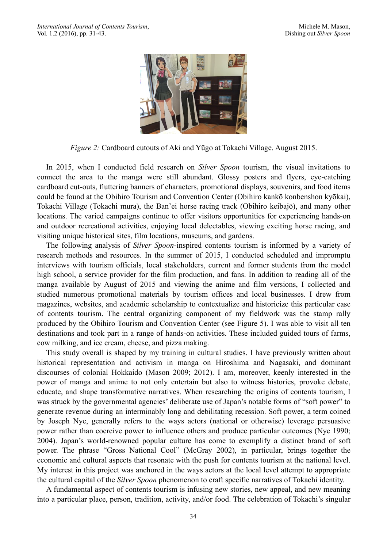

*Figure 2:* Cardboard cutouts of Aki and Yūgo at Tokachi Village. August 2015.

In 2015, when I conducted field research on *Silver Spoon* tourism, the visual invitations to connect the area to the manga were still abundant. Glossy posters and flyers, eye-catching cardboard cut-outs, fluttering banners of characters, promotional displays, souvenirs, and food items could be found at the Obihiro Tourism and Convention Center (Obihiro kankō konbenshon kyōkai), Tokachi Village (Tokachi mura), the Ban'ei horse racing track (Obihiro keibajō), and many other locations. The varied campaigns continue to offer visitors opportunities for experiencing hands-on and outdoor recreational activities, enjoying local delectables, viewing exciting horse racing, and visiting unique historical sites, film locations, museums, and gardens.

The following analysis of *Silver Spoon*-inspired contents tourism is informed by a variety of research methods and resources. In the summer of 2015, I conducted scheduled and impromptu interviews with tourism officials, local stakeholders, current and former students from the model high school, a service provider for the film production, and fans. In addition to reading all of the manga available by August of 2015 and viewing the anime and film versions, I collected and studied numerous promotional materials by tourism offices and local businesses. I drew from magazines, websites, and academic scholarship to contextualize and historicize this particular case of contents tourism. The central organizing component of my fieldwork was the stamp rally produced by the Obihiro Tourism and Convention Center (see Figure 5). I was able to visit all ten destinations and took part in a range of hands-on activities. These included guided tours of farms, cow milking, and ice cream, cheese, and pizza making.

This study overall is shaped by my training in cultural studies. I have previously written about historical representation and activism in manga on Hiroshima and Nagasaki, and dominant discourses of colonial Hokkaido (Mason 2009; 2012). I am, moreover, keenly interested in the power of manga and anime to not only entertain but also to witness histories, provoke debate, educate, and shape transformative narratives. When researching the origins of contents tourism, I was struck by the governmental agencies' deliberate use of Japan's notable forms of "soft power" to generate revenue during an interminably long and debilitating recession. Soft power, a term coined by Joseph Nye, generally refers to the ways actors (national or otherwise) leverage persuasive power rather than coercive power to influence others and produce particular outcomes (Nye 1990; 2004). Japan's world-renowned popular culture has come to exemplify a distinct brand of soft power. The phrase "Gross National Cool" (McGray 2002), in particular, brings together the economic and cultural aspects that resonate with the push for contents tourism at the national level. My interest in this project was anchored in the ways actors at the local level attempt to appropriate the cultural capital of the *Silver Spoon* phenomenon to craft specific narratives of Tokachi identity.

A fundamental aspect of contents tourism is infusing new stories, new appeal, and new meaning into a particular place, person, tradition, activity, and/or food. The celebration of Tokachi's singular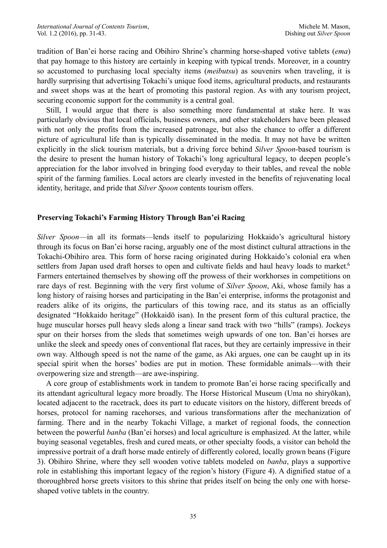tradition of Ban'ei horse racing and Obihiro Shrine's charming horse-shaped votive tablets (*ema*) that pay homage to this history are certainly in keeping with typical trends. Moreover, in a country so accustomed to purchasing local specialty items (*meibutsu*) as souvenirs when traveling, it is hardly surprising that advertising Tokachi's unique food items, agricultural products, and restaurants and sweet shops was at the heart of promoting this pastoral region. As with any tourism project, securing economic support for the community is a central goal.

Still, I would argue that there is also something more fundamental at stake here. It was particularly obvious that local officials, business owners, and other stakeholders have been pleased with not only the profits from the increased patronage, but also the chance to offer a different picture of agricultural life than is typically disseminated in the media. It may not have be written explicitly in the slick tourism materials, but a driving force behind *Silver Spoon*-based tourism is the desire to present the human history of Tokachi's long agricultural legacy, to deepen people's appreciation for the labor involved in bringing food everyday to their tables, and reveal the noble spirit of the farming families. Local actors are clearly invested in the benefits of rejuvenating local identity, heritage, and pride that *Silver Spoon* contents tourism offers.

## **Preserving Tokachi's Farming History Through Ban'ei Racing**

<span id="page-5-0"></span>*Silver Spoon*—in all its formats—lends itself to popularizing Hokkaido's agricultural history through its focus on Ban'ei horse racing, arguably one of the most distinct cultural attractions in the Tokachi-Obihiro area. This form of horse racing originated during Hokkaido's colonial era when settlers from Japan used draft horses to open and cultivate fields and haul heavy loads to market.<sup>[6](#page-11-5)</sup> Farmers entertained themselves by showing off the prowess of their workhorses in competitions on rare days of rest. Beginning with the very first volume of *Silver Spoon*, Aki, whose family has a long history of raising horses and participating in the Ban'ei enterprise, informs the protagonist and readers alike of its origins, the particulars of this towing race, and its status as an officially designated "Hokkaido heritage" (Hokkaidō isan). In the present form of this cultural practice, the huge muscular horses pull heavy sleds along a linear sand track with two "hills" (ramps). Jockeys spur on their horses from the sleds that sometimes weigh upwards of one ton. Ban'ei horses are unlike the sleek and speedy ones of conventional flat races, but they are certainly impressive in their own way. Although speed is not the name of the game, as Aki argues, one can be caught up in its special spirit when the horses' bodies are put in motion. These formidable animals—with their overpowering size and strength—are awe-inspiring.

A core group of establishments work in tandem to promote Ban'ei horse racing specifically and its attendant agricultural legacy more broadly. The Horse Historical Museum (Uma no shiryōkan), located adjacent to the racetrack, does its part to educate visitors on the history, different breeds of horses, protocol for naming racehorses, and various transformations after the mechanization of farming. There and in the nearby Tokachi Village, a market of regional foods, the connection between the powerful *banba* (Ban'ei horses) and local agriculture is emphasized. At the latter, while buying seasonal vegetables, fresh and cured meats, or other specialty foods, a visitor can behold the impressive portrait of a draft horse made entirely of differently colored, locally grown beans (Figure 3). Obihiro Shrine, where they sell wooden votive tablets modeled on *banba*, plays a supportive role in establishing this important legacy of the region's history (Figure 4). A dignified statue of a thoroughbred horse greets visitors to this shrine that prides itself on being the only one with horseshaped votive tablets in the country.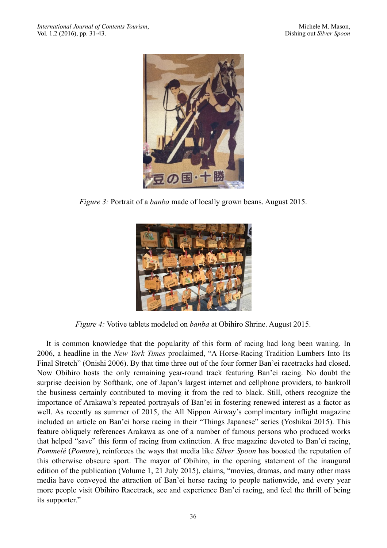

*Figure 3:* Portrait of a *banba* made of locally grown beans. August 2015.



*Figure 4:* Votive tablets modeled on *banba* at Obihiro Shrine. August 2015.

It is common knowledge that the popularity of this form of racing had long been waning. In 2006, a headline in the *New York Times* proclaimed, "A Horse-Racing Tradition Lumbers Into Its Final Stretch" (Onishi 2006). By that time three out of the four former Ban'ei racetracks had closed. Now Obihiro hosts the only remaining year-round track featuring Ban'ei racing. No doubt the surprise decision by Softbank, one of Japan's largest internet and cellphone providers, to bankroll the business certainly contributed to moving it from the red to black. Still, others recognize the importance of Arakawa's repeated portrayals of Ban'ei in fostering renewed interest as a factor as well. As recently as summer of 2015, the All Nippon Airway's complimentary inflight magazine included an article on Ban'ei horse racing in their "Things Japanese" series (Yoshikai 2015). This feature obliquely references Arakawa as one of a number of famous persons who produced works that helped "save" this form of racing from extinction. A free magazine devoted to Ban'ei racing, *Pommelé* (*Pomure*), reinforces the ways that media like *Silver Spoon* has boosted the reputation of this otherwise obscure sport. The mayor of Obihiro, in the opening statement of the inaugural edition of the publication (Volume 1, 21 July 2015), claims, "movies, dramas, and many other mass media have conveyed the attraction of Ban'ei horse racing to people nationwide, and every year more people visit Obihiro Racetrack, see and experience Ban'ei racing, and feel the thrill of being its supporter."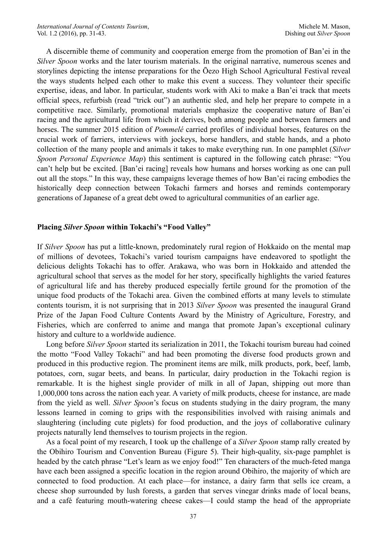A discernible theme of community and cooperation emerge from the promotion of Ban'ei in the *Silver Spoon* works and the later tourism materials. In the original narrative, numerous scenes and storylines depicting the intense preparations for the Ōezo High School Agricultural Festival reveal the ways students helped each other to make this event a success. They volunteer their specific expertise, ideas, and labor. In particular, students work with Aki to make a Ban'ei track that meets official specs, refurbish (read "trick out") an authentic sled, and help her prepare to compete in a competitive race. Similarly, promotional materials emphasize the cooperative nature of Ban'ei racing and the agricultural life from which it derives, both among people and between farmers and horses. The summer 2015 edition of *Pommelé* carried profiles of individual horses, features on the crucial work of farriers, interviews with jockeys, horse handlers, and stable hands, and a photo collection of the many people and animals it takes to make everything run. In one pamphlet (*Silver Spoon Personal Experience Map*) this sentiment is captured in the following catch phrase: "You can't help but be excited. [Ban'ei racing] reveals how humans and horses working as one can pull out all the stops." In this way, these campaigns leverage themes of how Ban'ei racing embodies the historically deep connection between Tokachi farmers and horses and reminds contemporary generations of Japanese of a great debt owed to agricultural communities of an earlier age.

#### **Placing** *Silver Spoon* **within Tokachi's "Food Valley"**

If *Silver Spoon* has put a little-known, predominately rural region of Hokkaido on the mental map of millions of devotees, Tokachi's varied tourism campaigns have endeavored to spotlight the delicious delights Tokachi has to offer. Arakawa, who was born in Hokkaido and attended the agricultural school that serves as the model for her story, specifically highlights the varied features of agricultural life and has thereby produced especially fertile ground for the promotion of the unique food products of the Tokachi area. Given the combined efforts at many levels to stimulate contents tourism, it is not surprising that in 2013 *Silver Spoon* was presented the inaugural Grand Prize of the Japan Food Culture Contents Award by the Ministry of Agriculture, Forestry, and Fisheries, which are conferred to anime and manga that promote Japan's exceptional culinary history and culture to a worldwide audience.

Long before *Silver Spoon* started its serialization in 2011, the Tokachi tourism bureau had coined the motto "Food Valley Tokachi" and had been promoting the diverse food products grown and produced in this productive region. The prominent items are milk, milk products, pork, beef, lamb, potatoes, corn, sugar beets, and beans. In particular, dairy production in the Tokachi region is remarkable. It is the highest single provider of milk in all of Japan, shipping out more than 1,000,000 tons across the nation each year. A variety of milk products, cheese for instance, are made from the yield as well. *Silver Spoon*'s focus on students studying in the dairy program, the many lessons learned in coming to grips with the responsibilities involved with raising animals and slaughtering (including cute piglets) for food production, and the joys of collaborative culinary projects naturally lend themselves to tourism projects in the region.

As a focal point of my research, I took up the challenge of a *Silver Spoon* stamp rally created by the Obihiro Tourism and Convention Bureau (Figure 5). Their high-quality, six-page pamphlet is headed by the catch phrase "Let's learn as we enjoy food!" Ten characters of the much-feted manga have each been assigned a specific location in the region around Obihiro, the majority of which are connected to food production. At each place—for instance, a dairy farm that sells ice cream, a cheese shop surrounded by lush forests, a garden that serves vinegar drinks made of local beans, and a café featuring mouth-watering cheese cakes—I could stamp the head of the appropriate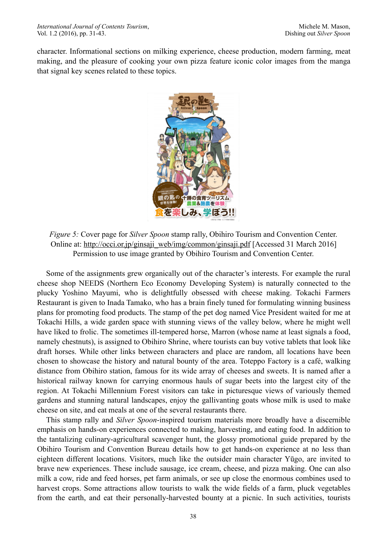character. Informational sections on milking experience, cheese production, modern farming, meat making, and the pleasure of cooking your own pizza feature iconic color images from the manga that signal key scenes related to these topics.



*Figure 5:* Cover page for *Silver Spoon* stamp rally, Obihiro Tourism and Convention Center. Online at: [http://occi.or.jp/ginsaji\\_web/img/common/ginsaji.pdf](http://occi.or.jp/ginsaji_web/img/common/ginsaji.pdf) [Accessed 31 March 2016] Permission to use image granted by Obihiro Tourism and Convention Center.

Some of the assignments grew organically out of the character's interests. For example the rural cheese shop NEEDS (Northern Eco Economy Developing System) is naturally connected to the plucky Yoshino Mayumi, who is delightfully obsessed with cheese making. Tokachi Farmers Restaurant is given to Inada Tamako, who has a brain finely tuned for formulating winning business plans for promoting food products. The stamp of the pet dog named Vice President waited for me at Tokachi Hills, a wide garden space with stunning views of the valley below, where he might well have liked to frolic. The sometimes ill-tempered horse, Marron (whose name at least signals a food, namely chestnuts), is assigned to Obihiro Shrine, where tourists can buy votive tablets that look like draft horses. While other links between characters and place are random, all locations have been chosen to showcase the history and natural bounty of the area. Toteppo Factory is a café, walking distance from Obihiro station, famous for its wide array of cheeses and sweets. It is named after a historical railway known for carrying enormous hauls of sugar beets into the largest city of the region. At Tokachi Millennium Forest visitors can take in picturesque views of variously themed gardens and stunning natural landscapes, enjoy the gallivanting goats whose milk is used to make cheese on site, and eat meals at one of the several restaurants there.

This stamp rally and *Silver Spoon*-inspired tourism materials more broadly have a discernible emphasis on hands-on experiences connected to making, harvesting, and eating food. In addition to the tantalizing culinary-agricultural scavenger hunt, the glossy promotional guide prepared by the Obihiro Tourism and Convention Bureau details how to get hands-on experience at no less than eighteen different locations. Visitors, much like the outsider main character Yūgo, are invited to brave new experiences. These include sausage, ice cream, cheese, and pizza making. One can also milk a cow, ride and feed horses, pet farm animals, or see up close the enormous combines used to harvest crops. Some attractions allow tourists to walk the wide fields of a farm, pluck vegetables from the earth, and eat their personally-harvested bounty at a picnic. In such activities, tourists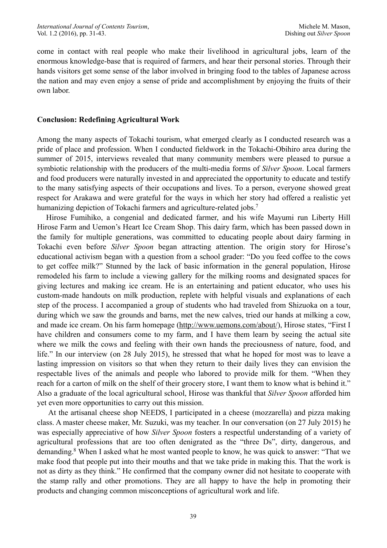come in contact with real people who make their livelihood in agricultural jobs, learn of the enormous knowledge-base that is required of farmers, and hear their personal stories. Through their hands visitors get some sense of the labor involved in bringing food to the tables of Japanese across the nation and may even enjoy a sense of pride and accomplishment by enjoying the fruits of their own labor.

### **Conclusion: Redefining Agricultural Work**

Among the many aspects of Tokachi tourism, what emerged clearly as I conducted research was a pride of place and profession. When I conducted fieldwork in the Tokachi-Obihiro area during the summer of 2015, interviews revealed that many community members were pleased to pursue a symbiotic relationship with the producers of the multi-media forms of *Silver Spoon*. Local farmers and food producers were naturally invested in and appreciated the opportunity to educate and testify to the many satisfying aspects of their occupations and lives. To a person, everyone showed great respect for Arakawa and were grateful for the ways in which her story had offered a realistic yet humanizing depiction of Tokachi farmers and agriculture-related jobs[.](#page-11-6)<sup>[7](#page-11-6)</sup>

<span id="page-9-0"></span>Hirose Fumihiko, a congenial and dedicated farmer, and his wife Mayumi run Liberty Hill Hirose Farm and Uemon's Heart Ice Cream Shop. This dairy farm, which has been passed down in the family for multiple generations, was committed to educating people about dairy farming in Tokachi even before *Silver Spoon* began attracting attention. The origin story for Hirose's educational activism began with a question from a school grader: "Do you feed coffee to the cows to get coffee milk?" Stunned by the lack of basic information in the general population, Hirose remodeled his farm to include a viewing gallery for the milking rooms and designated spaces for giving lectures and making ice cream. He is an entertaining and patient educator, who uses his custom-made handouts on milk production, replete with helpful visuals and explanations of each step of the process. I accompanied a group of students who had traveled from Shizuoka on a tour, during which we saw the grounds and barns, met the new calves, tried our hands at milking a cow, and made ice cream. On his farm homepage [\(http://www.uemons.com/about/](http://www.uemons.com/about/)), Hirose states, "First I have children and consumers come to my farm, and I have them learn by seeing the actual site where we milk the cows and feeling with their own hands the preciousness of nature, food, and life." In our interview (on 28 July 2015), he stressed that what he hoped for most was to leave a lasting impression on visitors so that when they return to their daily lives they can envision the respectable lives of the animals and people who labored to provide milk for them. "When they reach for a carton of milk on the shelf of their grocery store, I want them to know what is behind it." Also a graduate of the local agricultural school, Hirose was thankful that *Silver Spoon* afforded him yet even more opportunities to carry out this mission.

<span id="page-9-1"></span> At the artisanal cheese shop NEEDS, I participated in a cheese (mozzarella) and pizza making class. A master cheese maker, Mr. Suzuki, was my teacher. In our conversation (on 27 July 2015) he was especially appreciative of how *Silver Spoon* fosters a respectful understanding of a variety of agricultural professions that are too often denigrated as the "three Ds", dirty, dangerous, and demanding[.](#page-11-7)<sup>[8](#page-11-7)</sup> When I asked what he most wanted people to know, he was quick to answer: "That we make food that people put into their mouths and that we take pride in making this. That the work is not as dirty as they think." He confirmed that the company owner did not hesitate to cooperate with the stamp rally and other promotions. They are all happy to have the help in promoting their products and changing common misconceptions of agricultural work and life.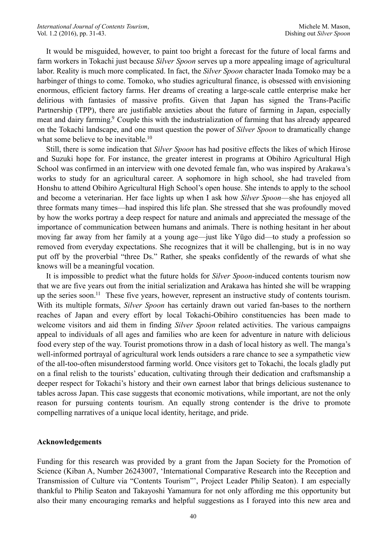It would be misguided, however, to paint too bright a forecast for the future of local farms and farm workers in Tokachi just because *Silver Spoon* serves up a more appealing image of agricultural labor. Reality is much more complicated. In fact, the *Silver Spoon* character Inada Tomoko may be a harbinger of things to come. Tomoko, who studies agricultural finance, is obsessed with envisioning enormous, efficient factory farms. Her dreams of creating a large-scale cattle enterprise make her delirious with fantasies of massive profits. Given that Japan has signed the Trans-Pacific Partnership (TPP), there are justifiable anxieties about the future of farming in Japan, especially meatand dairy farming.<sup>[9](#page-11-8)</sup> Couple this with the industrialization of farming that has already appeared on the Tokachi landscape, and one must question the power of *Silver Spoon* to dramatically change what some believe to be inevitable[.](#page-11-9)<sup>[10](#page-11-9)</sup>

<span id="page-10-1"></span><span id="page-10-0"></span>Still, there is some indication that *Silver Spoon* has had positive effects the likes of which Hirose and Suzuki hope for. For instance, the greater interest in programs at Obihiro Agricultural High School was confirmed in an interview with one devoted female fan, who was inspired by Arakawa's works to study for an agricultural career. A sophomore in high school, she had traveled from Honshu to attend Obihiro Agricultural High School's open house. She intends to apply to the school and become a veterinarian. Her face lights up when I ask how *Silver Spoon*—she has enjoyed all three formats many times—had inspired this life plan. She stressed that she was profoundly moved by how the works portray a deep respect for nature and animals and appreciated the message of the importance of communication between humans and animals. There is nothing hesitant in her about moving far away from her family at a young age—just like Yūgo did—to study a profession so removed from everyday expectations. She recognizes that it will be challenging, but is in no way put off by the proverbial "three Ds." Rather, she speaks confidently of the rewards of what she knows will be a meaningful vocation.

<span id="page-10-2"></span>It is impossible to predict what the future holds for *Silver Spoon*-induced contents tourism now that we are five years out from the initial serialization and Arakawa has hinted she will be wrapping up the series soon.<sup>[11](#page-11-10)</sup> These five years, however, represent an instructive study of contents tourism. With its multiple formats, *Silver Spoon* has certainly drawn out varied fan-bases to the northern reaches of Japan and every effort by local Tokachi-Obihiro constituencies has been made to welcome visitors and aid them in finding *Silver Spoon* related activities. The various campaigns appeal to individuals of all ages and families who are keen for adventure in nature with delicious food every step of the way. Tourist promotions throw in a dash of local history as well. The manga's well-informed portrayal of agricultural work lends outsiders a rare chance to see a sympathetic view of the all-too-often misunderstood farming world. Once visitors get to Tokachi, the locals gladly put on a final relish to the tourists' education, cultivating through their dedication and craftsmanship a deeper respect for Tokachi's history and their own earnest labor that brings delicious sustenance to tables across Japan. This case suggests that economic motivations, while important, are not the only reason for pursuing contents tourism. An equally strong contender is the drive to promote compelling narratives of a unique local identity, heritage, and pride.

#### **Acknowledgements**

Funding for this research was provided by a grant from the Japan Society for the Promotion of Science (Kiban A, Number 26243007, 'International Comparative Research into the Reception and Transmission of Culture via "Contents Tourism"', Project Leader Philip Seaton). I am especially thankful to Philip Seaton and Takayoshi Yamamura for not only affording me this opportunity but also their many encouraging remarks and helpful suggestions as I forayed into this new area and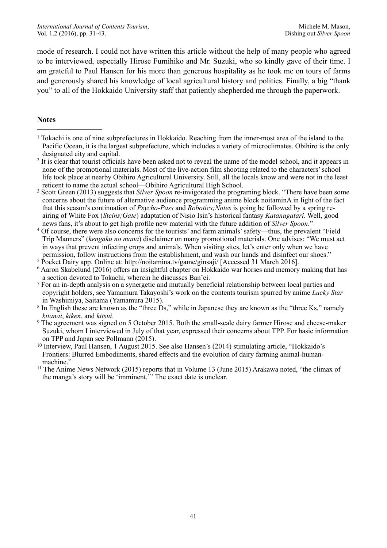mode of research. I could not have written this article without the help of many people who agreed to be interviewed, especially Hirose Fumihiko and Mr. Suzuki, who so kindly gave of their time. I am grateful to Paul Hansen for his more than generous hospitality as he took me on tours of farms and generously shared his knowledge of local agricultural history and politics. Finally, a big "thank you" to all of the Hokkaido University staff that patiently shepherded me through the paperwork.

#### **Notes**

- <span id="page-11-0"></span><sup>[1](#page-2-0)</sup> Tokachi is one of nine subprefectures in Hokkaido. Reaching from the inner-most area of the island to the Pacific Ocean, it is the largest subprefecture, which includes a variety of microclimates. Obihiro is the only designated city and capital.
- <span id="page-11-1"></span><sup>[2](#page-2-1)</sup> It is clear that tourist officials have been asked not to reveal the name of the model school, and it appears in none of the promotional materials. Most of the live-action film shooting related to the characters' school life took place at nearby Obihiro Agricultural University. Still, all the locals know and were not in the least reticent to name the actual school—Obihiro Agricultural High School.
- <span id="page-11-2"></span><sup>[3](#page-2-2)</sup> Scott Green (2013) suggests that *Silver Spoon* re-invigorated the programing block. "There have been some concerns about the future of alternative audience programming anime block noitaminA in light of the fact that this season's continuation of *Psycho-Pass* and *Robotics;Notes* is going be followed by a spring reairing of White Fox (*Steins;Gate*) adaptation of Nisio Isin's historical fantasy *Katanagatari*. Well, good news fans, it's about to get high profile new material with the future addition of *Silver Spoon*."
- <span id="page-11-3"></span><sup>[4](#page-3-0)</sup> Of course, there were also concerns for the tourists' and farm animals' safety—thus, the prevalent "Field" Trip Manners" (*kengaku no manā*) disclaimer on many promotional materials. One advises: "We must act in ways that prevent infecting crops and animals. When visiting sites, let's enter only when we have permission, follow instructions from the establishment, and wash our hands and disinfect our shoes."
- <sup>[5](#page-3-1)</sup> Pocket Dairy app. Online at: http://noitamina.tv/game/ginsaji/ [Accessed 31 March 2016].
- <span id="page-11-5"></span><span id="page-11-4"></span><sup>[6](#page-5-0)</sup> Aaron Skabelund (2016) offers an insightful chapter on Hokkaido war horses and memory making that has a section devoted to Tokachi, wherein he discusses Ban'ei.
- <span id="page-11-6"></span> For an in-depth analysis on a synergetic and mutually beneficial relationship between local parties and [7](#page-9-0) copyright holders, see Yamamura Takayoshi's work on the contents tourism spurred by anime *Lucky Star* in Washimiya, Saitama (Yamamura 2015).
- <span id="page-11-7"></span><sup>[8](#page-9-1)</sup> In English these are known as the "three Ds," while in Japanese they are known as the "three Ks," namely *kitanai*, *kiken*, and *kitsui*. <sup>[9](#page-10-0)</sup> The agreement was signed on 5 October 2015. Both the small-scale dairy farmer Hirose and cheese-maker
- <span id="page-11-8"></span>Suzuki, whom I interviewed in July of that year, expressed their concerns about TPP. For basic information on TPP and Japan see Pollmann (2015).
- <span id="page-11-9"></span><sup>[10](#page-10-1)</sup> Interview, Paul Hansen, 1 August 2015. See also Hansen's (2014) stimulating article, "Hokkaido's Frontiers: Blurred Embodiments, shared effects and the evolution of dairy farming animal-humanmachine."
- <span id="page-11-10"></span><sup>[11](#page-10-2)</sup> The Anime News Network (2015) reports that in Volume 13 (June 2015) Arakawa noted, "the climax of the manga's story will be 'imminent.'" The exact date is unclear.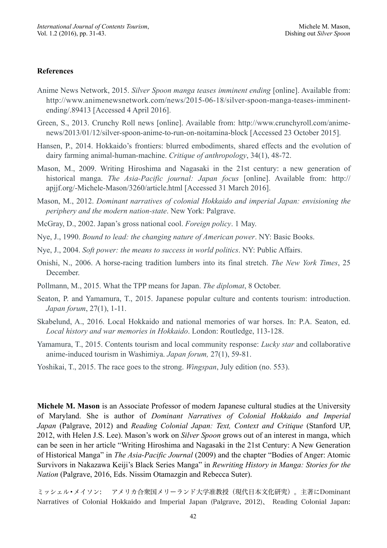#### **References**

- Anime News Network, 2015. *Silver Spoon manga teases imminent ending* [online]. Available from: http://www.animenewsnetwork.com/news/2015-06-18/silver-spoon-manga-teases-imminentending/.89413 [Accessed 4 April 2016].
- Green, S., 2013. Crunchy Roll news [online]. Available from: http://www.crunchyroll.com/animenews/2013/01/12/silver-spoon-anime-to-run-on-noitamina-block [Accessed 23 October 2015].
- Hansen, P., 2014. Hokkaido's frontiers: blurred embodiments, shared effects and the evolution of dairy farming animal-human-machine. *Critique of anthropology*, 34(1), 48-72.
- Mason, M., 2009. Writing Hiroshima and Nagasaki in the 21st century: a new generation of historical manga. *The Asia-Pacific journal: Japan focus* [online]. Available from: http:// apjjf.org/-Michele-Mason/3260/article.html [Accessed 31 March 2016].
- Mason, M., 2012. *Dominant narratives of colonial Hokkaido and imperial Japan: envisioning the periphery and the modern nation-state*. New York: Palgrave.
- McGray, D., 2002. Japan's gross national cool. *Foreign policy*. 1 May.
- Nye, J., 1990. *Bound to lead: the changing nature of American power*. NY: Basic Books.
- Nye, J., 2004. *Soft power: the means to success in world politics*. NY: Public Affairs.
- Onishi, N., 2006. A horse-racing tradition lumbers into its final stretch. *The New York Times*, 25 December.
- Pollmann, M., 2015. What the TPP means for Japan. *The diplomat*, 8 October.
- Seaton, P. and Yamamura, T., 2015. Japanese popular culture and contents tourism: introduction. *Japan forum*, 27(1), 1-11.
- Skabelund, A., 2016. Local Hokkaido and national memories of war horses. In: P.A. Seaton, ed. *Local history and war memories in Hokkaido*. London: Routledge, 113-128.
- Yamamura, T., 2015. Contents tourism and local community response: *Lucky star* and collaborative anime-induced tourism in Washimiya. *Japan forum,* 27(1), 59-81.
- Yoshikai, T., 2015. The race goes to the strong. *Wingspan*, July edition (no. 553).

**Michele M. Mason** is an Associate Professor of modern Japanese cultural studies at the University of Maryland. She is author of *Dominant Narratives of Colonial Hokkaido and Imperial Japan* (Palgrave, 2012) and *Reading Colonial Japan: Text, Context and Critique* (Stanford UP, 2012, with Helen J.S. Lee). Mason's work on *Silver Spoon* grows out of an interest in manga, which can be seen in her article "Writing Hiroshima and Nagasaki in the 21st Century: A New Generation of Historical Manga" in *The Asia-Pacific Journal* (2009) and the chapter "Bodies of Anger: Atomic Survivors in Nakazawa Keiji's Black Series Manga" in *Rewriting History in Manga: Stories for the Nation* (Palgrave, 2016, Eds. Nissim Otamazgin and Rebecca Suter).

ミッシェル•メイソン: アメリカ合衆国メリーランド大学准教授(現代日本文化研究)。主著にDominant Narratives of Colonial Hokkaido and Imperial Japan (Palgrave, 2012)、 Reading Colonial Japan: